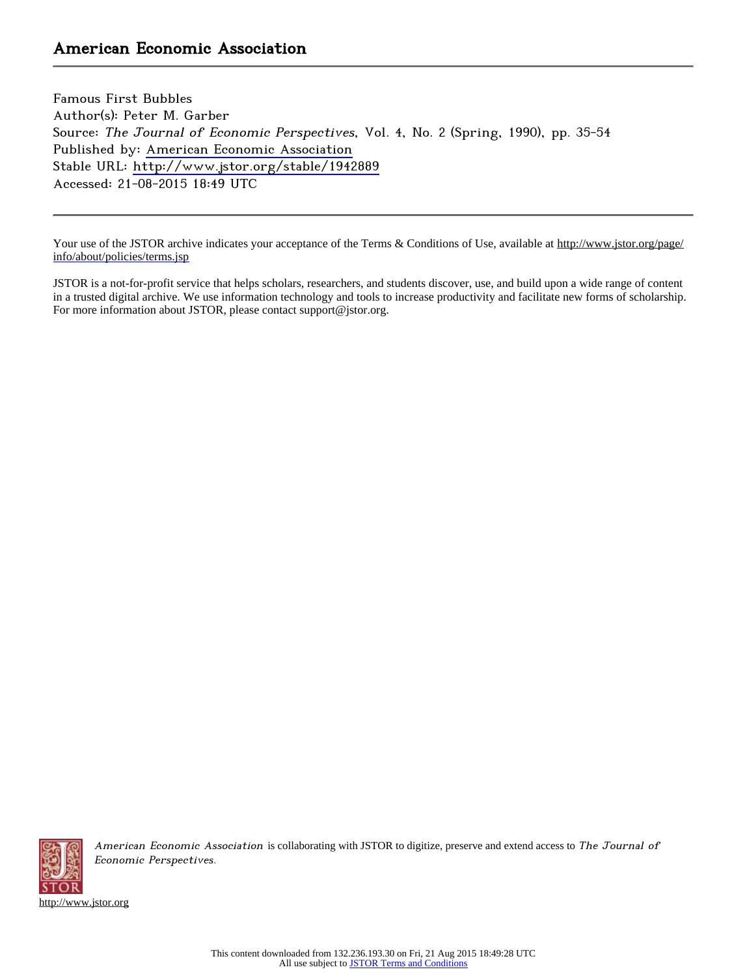Famous First Bubbles Author(s): Peter M. Garber Source: The Journal of Economic Perspectives, Vol. 4, No. 2 (Spring, 1990), pp. 35-54 Published by: [American Economic Association](http://www.jstor.org/action/showPublisher?publisherCode=aea) Stable URL: <http://www.jstor.org/stable/1942889> Accessed: 21-08-2015 18:49 UTC

Your use of the JSTOR archive indicates your acceptance of the Terms & Conditions of Use, available at [http://www.jstor.org/page/](http://www.jstor.org/page/info/about/policies/terms.jsp) [info/about/policies/terms.jsp](http://www.jstor.org/page/info/about/policies/terms.jsp)

JSTOR is a not-for-profit service that helps scholars, researchers, and students discover, use, and build upon a wide range of content in a trusted digital archive. We use information technology and tools to increase productivity and facilitate new forms of scholarship. For more information about JSTOR, please contact support@jstor.org.



American Economic Association is collaborating with JSTOR to digitize, preserve and extend access to The Journal of Economic Perspectives.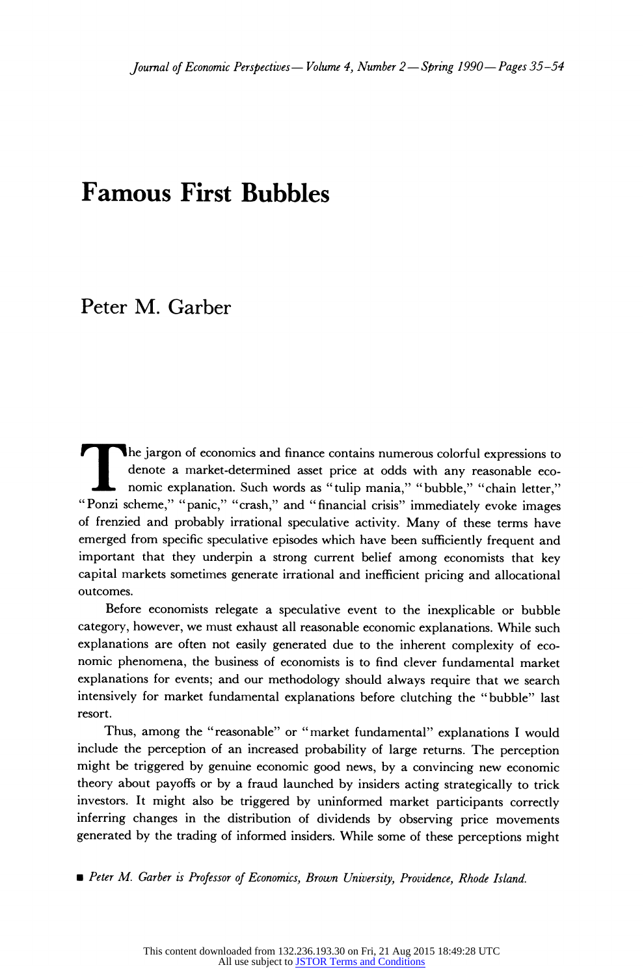# **Famous First Bubbles**

**Peter M. Garber** 

**<sup>T</sup>he jargon of economics and finance contains numerous colorful expressions to denote a market-determined asset price at odds with any reasonable economic explanation. Such words as "tulip mania," "bubble," "chain letter," "Ponzi scheme," "panic," "crash," and "financial crisis" immediately evoke images of frenzied and probably irrational speculative activity. Many of these terms have emerged from specific speculative episodes which have been sufficiently frequent and important that they underpin a strong current belief among economists that key capital markets sometimes generate irrational and inefficient pricing and allocational outcomes.** 

**Before economists relegate a speculative event to the inexplicable or bubble category, however, we must exhaust all reasonable economic explanations. While such explanations are often not easily generated due to the inherent complexity of economic phenomena, the business of economists is to find clever fundamental market explanations for events; and our methodology should always require that we search intensively for market fundamental explanations before clutching the "bubble" last resort.** 

**Thus, among the "reasonable" or "market fundamental" explanations I would include the perception of an increased probability of large returns. The perception might be triggered by genuine economic good news, by a convincing new economic theory about payoffs or by a fraud launched by insiders acting strategically to trick investors. It might also be triggered by uninformed market participants correctly inferring changes in the distribution of dividends by observing price movements generated by the trading of informed insiders. While some of these perceptions might** 

**\* Peter M. Garber is Professor of Economics, Brown University, Providence, Rhode Island.**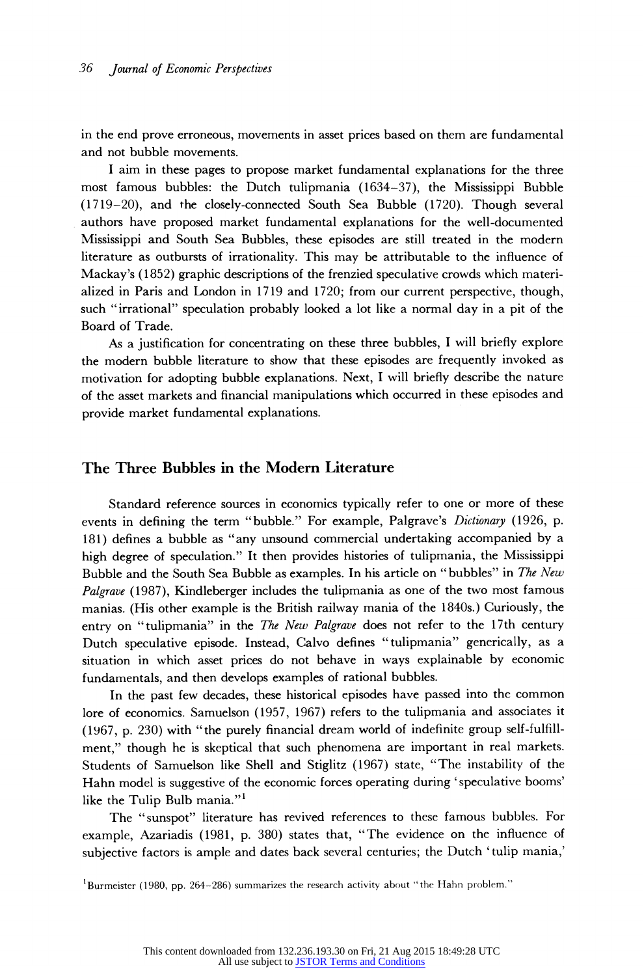**in the end prove erroneous, movements in asset prices based on them are fundamental and not bubble movements.** 

**I aim in these pages to propose market fundamental explanations for the three most famous bubbles: the Dutch tulipmania (1634-37), the Mississippi Bubble (1719-20), and the closely-connected South Sea Bubble (1720). Though several authors have proposed market fundamental explanations for the well-documented Mississippi and South Sea Bubbles, these episodes are still treated in the modern literature as outbursts of irrationality. This may be attributable to the influence of Mackay's (1852) graphic descriptions of the frenzied speculative crowds which materialized in Paris and London in 1719 and 1720; from our current perspective, though, such "irrational" speculation probably looked a lot like a normal day in a pit of the Board of Trade.** 

**As a justification for concentrating on these three bubbles, I will briefly explore the modern bubble literature to show that these episodes are frequently invoked as motivation for adopting bubble explanations. Next, I will briefly describe the nature of the asset markets and financial manipulations which occurred in these episodes and provide market fundamental explanations.** 

### **The Three Bubbles in the Modern Literature**

**Standard reference sources in economics typically refer to one or more of these events in defining the term "bubble." For example, Palgrave's Dictionary (1926, p. 181) defines a bubble as "any unsound commercial undertaking accompanied by a high degree of speculation." It then provides histories of tulipmania, the Mississippi Bubble and the South Sea Bubble as examples. In his article on "bubbles" in The New**  Palgrave (1987), Kindleberger includes the tulipmania as one of the two most famous **manias. (His other example is the British railway mania of the 1840s.) Curiously, the entry on "tulipmania" in the The New Palgrave does not refer to the 17th century Dutch speculative episode. Instead, Calvo defines "tulipmania" generically, as a situation in which asset prices do not behave in ways explainable by economic fundamentals, and then develops examples of rational bubbles.** 

**In the past few decades, these historical episodes have passed into the common lore of economics. Samuelson (1957, 1967) refers to the tulipmania and associates it (1967, p. 230) with "the purely financial dream world of indefinite group self-fulfillment," though he is skeptical that such phenomena are important in real markets. Students of Samuelson like Shell and Stiglitz (1967) state, "The instability of the Hahn model is suggestive of the economic forces operating during 'speculative booms' like the Tulip Bulb mania."1** 

**The "sunspot" literature has revived references to these famous bubbles. For example, Azariadis (1981, p. 380) states that, "The evidence on the influence of subjective factors is ample and dates back several centuries; the Dutch 'tulip mania,'** 

**IBurmeister (1980, pp. 264-286) summarizes the research activity about 'the Hahn problem."**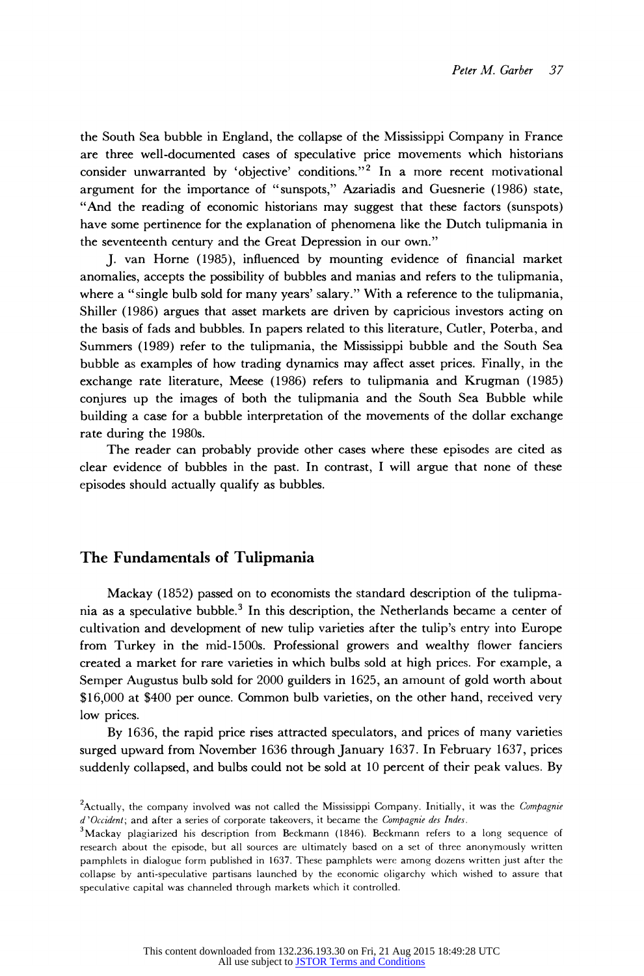**the South Sea bubble in England, the collapse of the Mississippi Company in France are three well-documented cases of speculative price movements which historians consider unwarranted by 'objective' conditions."2 In a more recent motivational argument for the importance of "sunspots," Azariadis and Guesnerie (1986) state, "And the reading of economic historians may suggest that these factors (sunspots) have some pertinence for the explanation of phenomena like the Dutch tulipmania in the seventeenth century and the Great Depression in our own."** 

**J. van Horne (1985), influenced by mounting evidence of financial market anomalies, accepts the possibility of bubbles and manias and refers to the tulipmania, where a "single bulb sold for many years' salary." With a reference to the tulipmania, Shiller (1986) argues that asset markets are driven by capricious investors acting on the basis of fads and bubbles. In papers related to this literature, Cutler, Poterba, and Summers (1989) refer to the tulipmania, the Mississippi bubble and the South Sea bubble as examples of how trading dynamics may affect asset prices. Finally, in the exchange rate literature, Meese (1986) refers to tulipmania and Krugman (1985) conjures up the images of both the tulipmania and the South Sea Bubble while building a case for a bubble interpretation of the movements of the dollar exchange rate during the 1980s.** 

**The reader can probably provide other cases where these episodes are cited as clear evidence of bubbles in the past. In contrast, I will argue that none of these episodes should actually qualify as bubbles.** 

## **The Fundamentals of Tulipmania**

**Mackay (1852) passed on to economists the standard description of the tulipmania as a speculative bubble.3 In this description, the Netherlands became a center of cultivation and development of new tulip varieties after the tulip's entry into Europe from Turkey in the mid-1500s. Professional growers and wealthy flower fanciers created a market for rare varieties in which bulbs sold at high prices. For example, a Semper Augustus bulb sold for 2000 guilders in 1625, an amount of gold worth about \$16,000 at \$400 per ounce. Common bulb varieties, on the other hand, received very low prices.** 

**By 1636, the rapid price rises attracted speculators, and prices of many varieties surged upward from November 1636 through January 1637. In February 1637, prices suddenly collapsed, and bulbs could not be sold at 10 percent of their peak values. By** 

**<sup>2</sup>Actually, the company involved was not called the Mississippi Company. Initially, it was the Compagnie d'Occident; and after a series of corporate takeovers, it became the Compagnie des Indes.** 

**<sup>3</sup>Mackay plagiarized his description from Beckmann (1846). Beckmann refers to a long sequence of research about the episode, but all sources are ultimately based on a set of three anonymously written**  pamphlets in dialogue form published in 1637. These pamphlets were among dozens written just after the **collapse by anti-speculative partisans launched by the economic oligarchy which wished to assure that speculative capital was channeled through markets which it controlled.**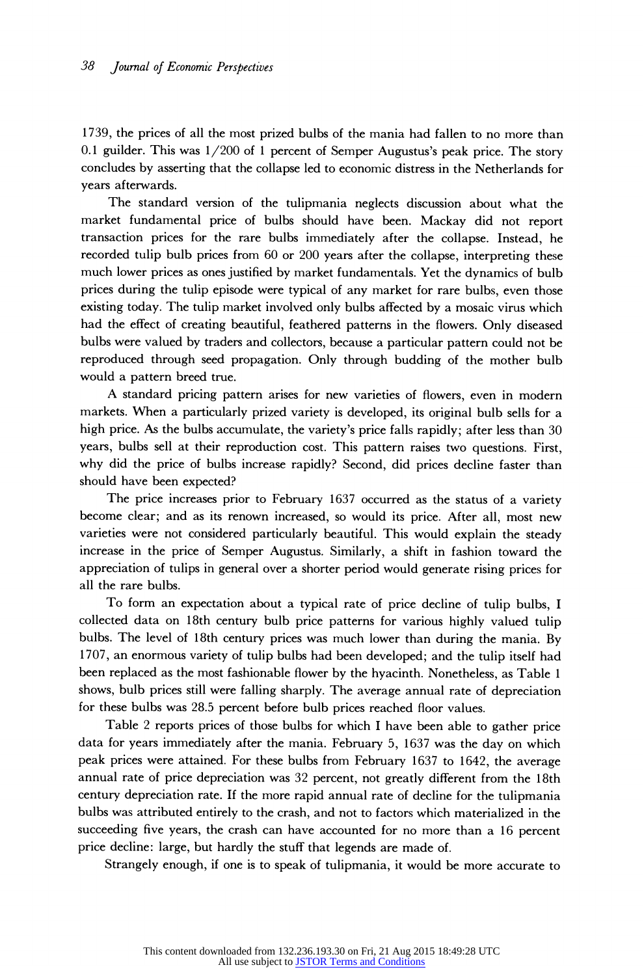**1739, the prices of all the most prized bulbs of the mania had fallen to no more than 0.1 guilder. This was 1/200 of 1 percent of Semper Augustus's peak price. The story concludes by asserting that the collapse led to economic distress in the Netherlands for years afterwards.** 

**The standard version of the tulipmania neglects discussion about what the market fundamental price of bulbs should have been. Mackay did not report transaction prices for the rare bulbs immediately after the collapse. Instead, he recorded tulip bulb prices from 60 or 200 years after the collapse, interpreting these much lower prices as ones justified by market fundamentals. Yet the dynamics of bulb prices during the tulip episode were typical of any market for rare bulbs, even those existing today. The tulip market involved only bulbs affected by a mosaic virus which had the effect of creating beautiful, feathered patterns in the flowers. Only diseased bulbs were valued by traders and collectors, because a particular pattern could not be reproduced through seed propagation. Only through budding of the mother bulb would a pattern breed true.** 

**A standard pricing pattern arises for new varieties of flowers, even in modern markets. When a particularly prized variety is developed, its original bulb sells for a high price. As the bulbs accumulate, the variety's price falls rapidly; after less than 30 years, bulbs sell at their reproduction cost. This pattern raises two questions. First, why did the price of bulbs increase rapidly? Second, did prices decline faster than should have been expected?** 

**The price increases prior to February 1637 occurred as the status of a variety become clear; and as its renown increased, so would its price. After all, most new varieties were not considered particularly beautiful. This would explain the steady increase in the price of Semper Augustus. Similarly, a shift in fashion toward the appreciation of tulips in general over a shorter period would generate rising prices for all the rare bulbs.** 

**To form an expectation about a typical rate of price decline of tulip bulbs, I collected data on 18th century bulb price patterns for various highly valued tulip bulbs. The level of 18th century prices was much lower than during the mania. By 1707, an enormous variety of tulip bulbs had been developed; and the tulip itself had been replaced as the most fashionable flower by the hyacinth. Nonetheless, as Table 1 shows, bulb prices still were falling sharply. The average annual rate of depreciation for these bulbs was 28.5 percent before bulb prices reached floor values.** 

**Table 2 reports prices of those bulbs for which I have been able to gather price data for years immediately after the mania. February 5, 1637 was the day on which peak prices were attained. For these bulbs from February 1637 to 1642, the average annual rate of price depreciation was 32 percent, not greatly different from the 18th century depreciation rate. If the more rapid annual rate of decline for the tulipmania bulbs was attributed entirely to the crash, and not to factors which materialized in the succeeding five years, the crash can have accounted for no more than a 16 percent price decline: large, but hardly the stuff that legends are made of.** 

**Strangely enough, if one is to speak of tulipmania, it would be more accurate to**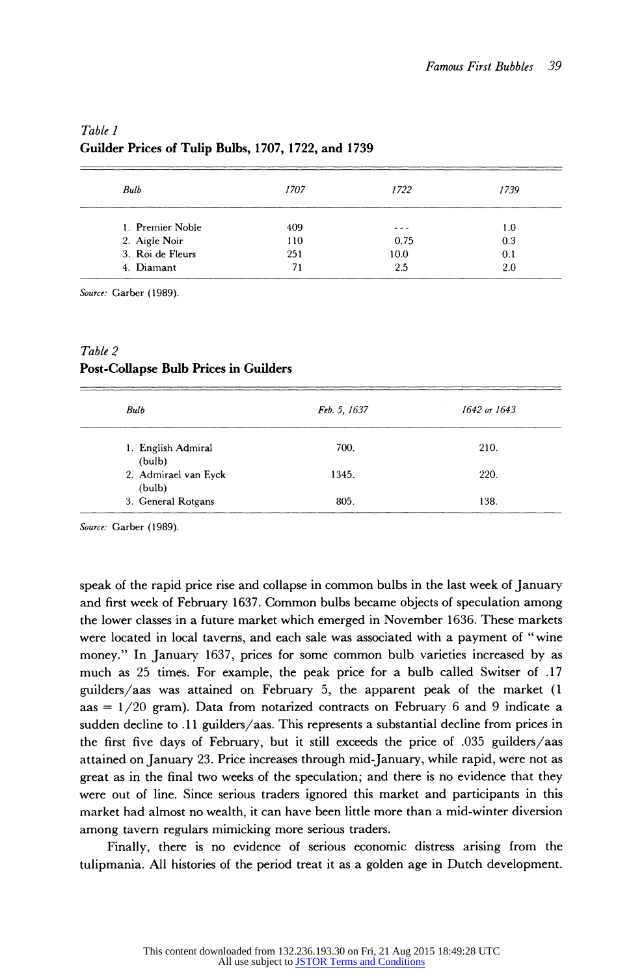| Bulb             | 1707 | 1722 | 1739 |
|------------------|------|------|------|
| 1. Premier Noble | 409  | ---  | 1.0  |
| 2. Aigle Noir    | 110  | 0.75 | 0.3  |
| 3. Roi de Fleurs | 251  | 10.0 | 0.1  |
| 4. Diamant       |      | 2.5  | 2.0  |

# **Table I Guilder Prices of Tulip Bulbs, 1707, 1722, and 1739**

**Source: Garber (1989).** 

# **Table 2 Post-Collapse Bulb Prices in Guilders**

| <b>Bulb</b>                    | Feb. 5, 1637 | $1642$ or $1643$ |
|--------------------------------|--------------|------------------|
| 1. English Admiral<br>(bulb)   | 700.         | 210.             |
| 2. Admirael van Eyck<br>(bulb) | 1345.        | 220.             |
| 3. General Rotgans             | 805.         | 138.             |

**Source: Garber (1989).** 

**speak of the rapid price rise and collapse in common bulbs in the last week of January and first week of February 1637. Common bulbs became objects of speculation among the lower classes in a future market which emerged in November 1636. These markets were located in local taverns, and each sale was associated with a payment of "wine money." In January 1637, prices for some common bulb varieties increased by as much as 25 times. For example, the peak price for a bulb called Switser of .17 guilders/aas was attained on February 5, the apparent peak of the market (1 aas = 1/20 gram). Data from notarized contracts on February 6 and 9 indicate a sudden decline to .11 guilders/aas. This represents a substantial decline from prices in the first five days of February, but it still exceeds the price of .035 guilders/aas attained on January 23. Price increases through mid-January, while rapid, were not as great as in the final two weeks of the speculation; and there is no evidence that they were out of line. Since serious traders ignored this market and participants in this market had almost no wealth, it can have been little more than a mid-winter diversion among tavern regulars mimicking more serious traders.** 

**Finally, there is no evidence of serious economic distress arising from the tulipmania. All histories of the period treat it as a golden age in Dutch development.**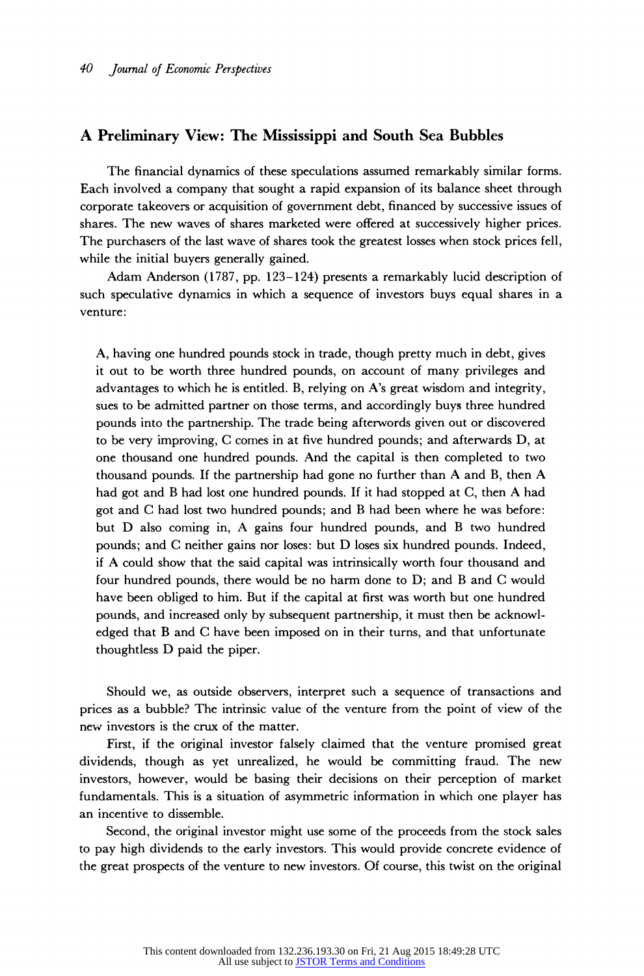# **A Preliminary View: The Mississippi and South Sea Bubbles**

**The financial dynamics of these speculations assumed remarkably similar forms. Each involved a company that sought a rapid expansion of its balance sheet through corporate takeovers or acquisition of government debt, financed by successive issues of shares. The new waves of shares marketed were offered at successively higher prices. The purchasers of the last wave of shares took the greatest losses when stock prices fell, while the initial buyers generally gained.** 

**Adam Anderson (1787, pp. 123-124) presents a remarkably lucid description of such speculative dynamics in which a sequence of investors buys equal shares in a venture:** 

**A, having one hundred pounds stock in trade, though pretty much in debt, gives it out to be worth three hundred pounds, on account of many privileges and advantages to which he is entitled. B, relying on A's great wisdom and integrity, sues to be admitted partner on those terms, and accordingly buys three hundred pounds into the partnership. The trade being afterwords given out or discovered to be very improving, C comes in at five hundred pounds; and afterwards D, at one thousand one hundred pounds. And the capital is then completed to two thousand pounds. If the partnership had gone no further than A and B, then A had got and B had lost one hundred pounds. If it had stopped at C, then A had got and C had lost two hundred pounds; and B had been where he was before: but D also coming in, A gains four hundred pounds, and B two hundred pounds; and C neither gains nor loses: but D loses six hundred pounds. Indeed, if A could show that the said capital was intrinsically worth four thousand and four hundred pounds, there would be no harm done to D; and B and C would have been obliged to him. But if the capital at first was worth but one hundred pounds, and increased only by subsequent partnership, it must then be acknowledged that B and C have been imposed on in their turns, and that unfortunate thoughtless D paid the piper.** 

**Should we, as outside observers, interpret such a sequence of transactions and prices as a bubble? The intrinsic value of the venture from the point of view of the new investors is the crux of the matter.** 

**First, if the original investor falsely claimed that the venture promised great dividends, though as yet unrealized, he would be committing fraud. The new investors, however, would be basing their decisions on their perception of market fundamentals. This is a situation of asymmetric information in which one player has an incentive to dissemble.** 

**Second, the original investor might use some of the proceeds from the stock sales to pay high dividends to the early investors. This would provide concrete evidence of the great prospects of the venture to new investors. Of course, this twist on the original**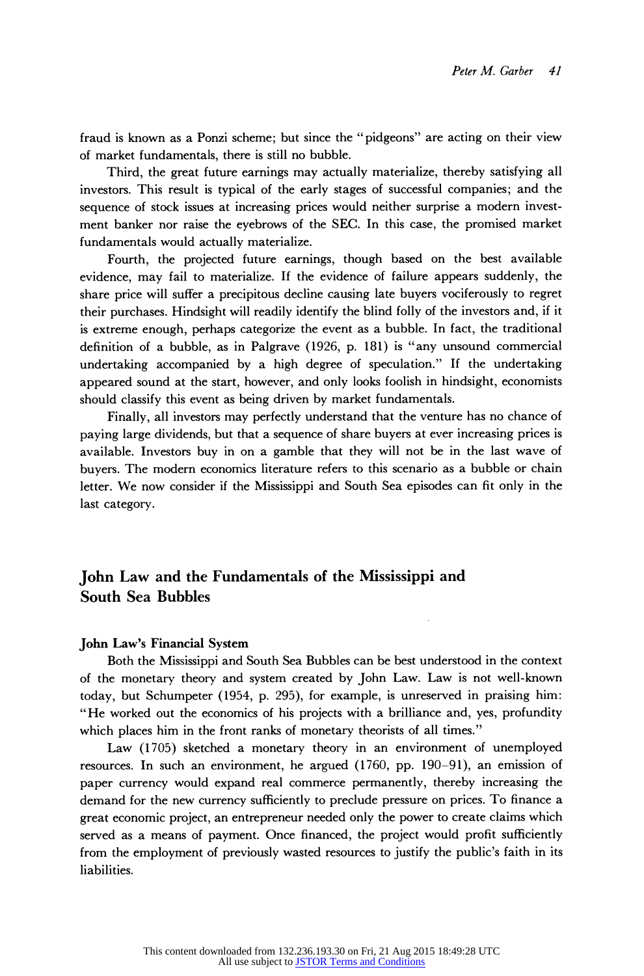**fraud is known as a Ponzi scheme; but since the "pidgeons" are acting on their view of market fundamentals, there is still no bubble.** 

**Third, the great future earnings may actually materialize, thereby satisfying all investors. This result is typical of the early stages of successful companies; and the sequence of stock issues at increasing prices would neither surprise a modern investment banker nor raise the eyebrows of the SEC. In this case, the promised market fundamentals would actually materialize.** 

**Fourth, the projected future earnings, though based on the best available evidence, may fail to materialize. If the evidence of failure appears suddenly, the share price will suffer a precipitous decline causing late buyers vociferously to regret their purchases. Hindsight will readily identify the blind folly of the investors and, if it is extreme enough, perhaps categorize the event as a bubble. In fact, the traditional definition of a bubble, as in Palgrave (1926, p. 181) is "any unsound commercial undertaking accompanied by a high degree of speculation." If the undertaking appeared sound at the start, however, and only looks foolish in hindsight, economists should classify this event as being driven by market fundamentals.** 

**Finally, all investors may perfectly understand that the venture has no chance of paying large dividends, but that a sequence of share buyers at ever increasing prices is available. Investors buy in on a gamble that they will not be in the last wave of buyers. The modern economics literature refers to this scenario as a bubble or chain letter. We now consider if the Mississippi and South Sea episodes can fit only in the last category.** 

# **John Law and the Fundamentals of the Mississippi and South Sea Bubbles**

#### **John Law's Financial System**

**Both the Mississippi and South Sea Bubbles can be best understood in the context of the monetary theory and system created by John Law. Law is not well-known today, but Schumpeter (1954, p. 295), for example, is unreserved in praising him: "He worked out the economics of his projects with a brilliance and, yes, profundity which places him in the front ranks of monetary theorists of all times."** 

**Law (1705) sketched a monetary theory in an environment of unemployed resources. In such an environment, he argued (1760, pp. 190-91), an emission of paper currency would expand real commerce permanently, thereby increasing the demand for the new currency sufficiently to preclude pressure on prices. To finance a great economic project, an entrepreneur needed only the power to create claims which served as a means of payment. Once financed, the project would profit sufficiently from the employment of previously wasted resources to justify the public's faith in its liabilities.**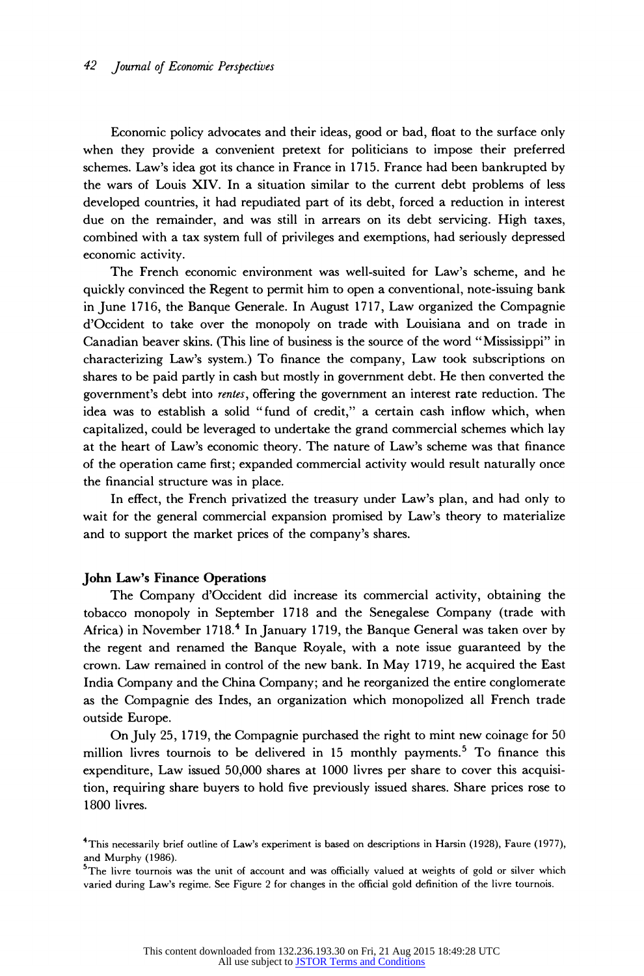**Economic policy advocates and their ideas, good or bad, float to the surface only when they provide a convenient pretext for politicians to impose their preferred schemes. Law's idea got its chance in France in 1715. France had been bankrupted by the wars of Louis XIV. In a situation similar to the current debt problems of less developed countries, it had repudiated part of its debt, forced a reduction in interest due on the remainder, and was still in arrears on its debt servicing. High taxes, combined with a tax system full of privileges and exemptions, had seriously depressed economic activity.** 

**The French economic environment was well-suited for Law's scheme, and he quickly convinced the Regent to permit him to open a conventional, note-issuing bank in June 1716, the Banque Generale. In August 1717, Law organized the Compagnie d'Occident to take over the monopoly on trade with Louisiana and on trade in Canadian beaver skins. (This line of business is the source of the word "Mississippi" in characterizing Law's system.) To finance the company, Law took subscriptions on shares to be paid partly in cash but mostly in government debt. He then converted the government's debt into rentes, offering the government an interest rate reduction. The idea was to establish a solid "fund of credit," a certain cash inflow which, when capitalized, could be leveraged to undertake the grand commercial schemes which lay at the heart of Law's economic theory. The nature of Law's scheme was that finance of the operation came first; expanded commercial activity would result naturally once the financial structure was in place.** 

**In effect, the French privatized the treasury under Law's plan, and had only to wait for the general commercial expansion promised by Law's theory to materialize and to support the market prices of the company's shares.** 

#### **John Law's Finance Operations**

**The Company d'Occident did increase its commercial activity, obtaining the tobacco monopoly in September 1718 and the Senegalese Company (trade with Africa) in November 1718.4 In January 1719, the Banque General was taken over by the regent and renamed the Banque Royale, with a note issue guaranteed by the crown. Law remained in control of the new bank. In May 1719, he acquired the East India Company and the China Company; and he reorganized the entire conglomerate as the Compagnie des Indes, an organization which monopolized all French trade outside Europe.** 

**On July 25, 1719, the Compagnie purchased the right to mint new coinage for 50 million livres tournois to be delivered in 15 monthly payments.5 To finance this expenditure, Law issued 50,000 shares at 1000 livres per share to cover this acquisition, requiring share buyers to hold five previously issued shares. Share prices rose to 1800 livres.** 

**<sup>4</sup>This necessarily brief outline of Law's experiment is based on descriptions in Harsin (1928), Faure (1977), and Murphy (1986).** 

<sup>&</sup>lt;sup>5</sup>The livre tournois was the unit of account and was officially valued at weights of gold or silver which **varied during Law's regime. See Figure 2 for changes in the official gold definition of the livre tournois.**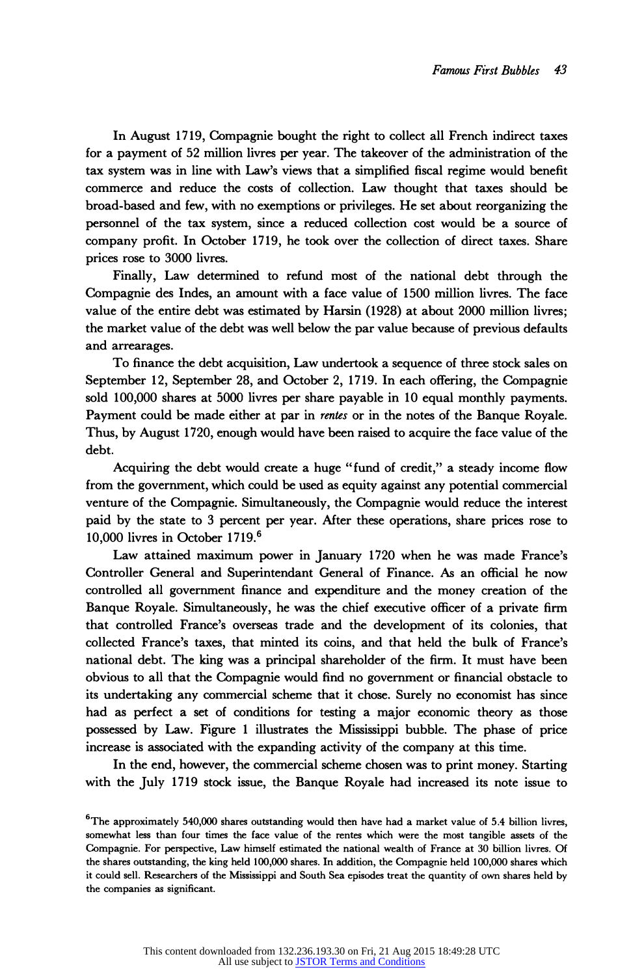**In August 1719, Compagnie bought the right to collect all French indirect taxes for a payment of 52 million livres per year. The takeover of the administration of the tax system was in line with Law's views that a simplified fiscal regime would benefit commerce and reduce the costs of collection. Law thought that taxes should be broad-based and few, with no exemptions or privileges. He set about reorganizing the personnel of the tax system, since a reduced collection cost would be a source of company profit. In October 1719, he took over the collection of direct taxes. Share prices rose to 3000 livres.** 

**Finally, Law determined to refund most of the national debt through the Compagnie des Indes, an amount with a face value of 1500 million livres. The face value of the entire debt was estimated by Harsin (1928) at about 2000 million livres; the market value of the debt was well below the par value because of previous defaults and arrearages.** 

**To finance the debt acquisition, Law undertook a sequence of three stock sales on September 12, September 28, and October 2, 1719. In each offering, the Compagnie sold 100,000 shares at 5000 livres per share payable in 10 equal monthly payments. Payment could be made either at par in rentes or in the notes of the Banque Royale. Thus, by August 1720, enough would have been raised to acquire the face value of the debt.** 

**Acquiring the debt would create a huge "fund of credit," a steady income flow from the government, which could be used as equity against any potential commercial venture of the Compagnie. Simultaneously, the Compagnie would reduce the interest paid by the state to 3 percent per year. After these operations, share prices rose to 10,000 livres in October 1719.6** 

**Law attained maximum power in January 1720 when he was made France's Controller General and Superintendant General of Finance. As an official he now controlled all government finance and expenditure and the money creation of the Banque Royale. Simultaneously, he was the chief executive officer of a private firm that controlled France's overseas trade and the development of its colonies, that collected France's taxes, that minted its coins, and that held the bulk of France's national debt. The king was a principal shareholder of the firm. It must have been obvious to all that the Compagnie would find no government or financial obstacle to its undertaking any commercial scheme that it chose. Surely no economist has since had as perfect a set of conditions for testing a major economic theory as those possessed by Law. Figure 1 illustrates the Mississippi bubble. The phase of price increase is associated with the expanding activity of the company at this time.** 

**In the end, however, the commercial scheme chosen was to print money. Starting with the July 1719 stock issue, the Banque Royale had increased its note issue to** 

<sup>&</sup>lt;sup>6</sup>The approximately 540,000 shares outstanding would then have had a market value of 5.4 billion livres, **somewhat less than four times the face value of the rentes which were the most tangible assets of the Compagnie. For perspective, Law himself estimated the national wealth of France at 30 billion livres. Of the shares outstanding, the king held 100,000 shares. In addition, the Compagnie held 100,000 shares which it could sell. Researchers of the Mississippi and South Sea episodes treat the quantity of own shares held by the companies as significant.**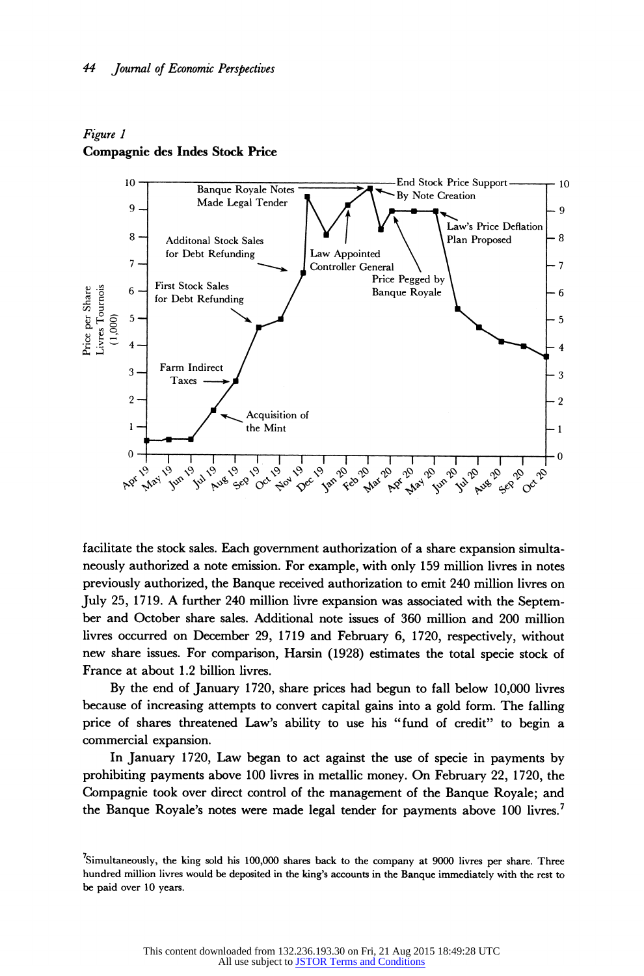

### **Figure I Compagnie des Indes Stock Price**

**facilitate the stock sales. Each government authorization of a share expansion simultaneously authorized a note emission. For example, with only 159 million livres in notes previously authorized, the Banque received authorization to emit 240 million livres on July 25, 1719. A further 240 million livre expansion was associated with the September and October share sales. Additional note issues of 360 million and 200 million livres occurred on December 29, 1719 and February 6, 1720, respectively, without new share issues. For comparison, Harsin (1928) estimates the total specie stock of France at about 1.2 billion livres.** 

**By the end of January 1720, share prices had begun to fall below 10,000 livres because of increasing attempts to convert capital gains into a gold form. The falling price of shares threatened Law's ability to use his "fund of credit" to begin a commercial expansion.** 

**In January 1720, Law began to act against the use of specie in payments by prohibiting payments above 100 livres in metallic money. On February 22, 1720, the Compagnie took over direct control of the management of the Banque Royale; and the Banque Royale's notes were made legal tender for payments above 100 livres.7** 

**<sup>7</sup>Simultaneously, the king sold his 100,000 shares back to the company at 9000 livres per share. Three hundred million livres would be deposited in the king's accounts in the Banque immediately with the rest to be paid over 10 years.**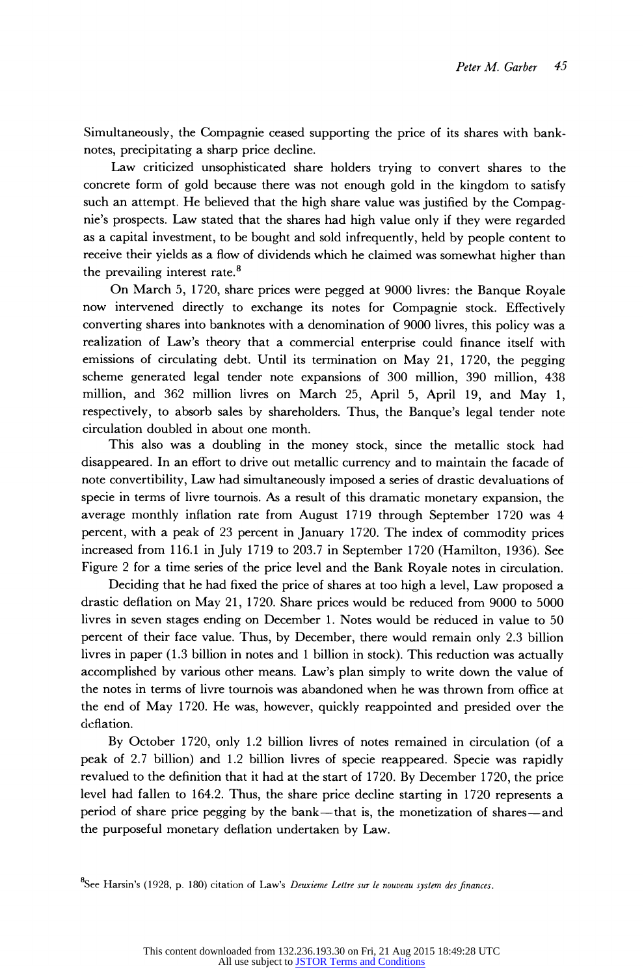**Simultaneously, the Compagnie ceased supporting the price of its shares with banknotes, precipitating a sharp price decline.** 

**Law criticized unsophisticated share holders trying to convert shares to the concrete form of gold because there was not enough gold in the kingdom to satisfy such an attempt. He believed that the high share value was justified by the Compagnie's prospects. Law stated that the shares had high value only if they were regarded as a capital investment, to be bought and sold infrequently, held by people content to receive their yields as a flow of dividends which he claimed was somewhat higher than the prevailing interest rate.8** 

**On March 5, 1720, share prices were pegged at 9000 livres: the Banque Royale now intervened directly to exchange its notes for Compagnie stock. Effectively converting shares into banknotes with a denomination of 9000 livres, this policy was a realization of Law's theory that a commercial enterprise could finance itself with emissions of circulating debt. Until its termination on May 21, 1720, the pegging scheme generated legal tender note expansions of 300 million, 390 million, 438 million, and 362 million livres on March 25, April 5, April 19, and May 1, respectively, to absorb sales by shareholders. Thus, the Banque's legal tender note circulation doubled in about one month.** 

**This also was a doubling in the money stock, since the metallic stock had disappeared. In an effort to drive out metallic currency and to maintain the facade of note convertibility, Law had simultaneously imposed a series of drastic devaluations of specie in terms of livre tournois. As a result of this dramatic monetary expansion, the average monthly inflation rate from August 1719 through September 1720 was 4 percent, with a peak of 23 percent in January 1720. The index of commodity prices increased from 116.1 in July 1719 to 203.7 in September 1720 (Hamilton, 1936). See Figure 2 for a time series of the price level and the Bank Royale notes in circulation.** 

**Deciding that he had fixed the price of shares at too high a level, Law proposed a drastic deflation on May 21, 1720. Share prices would be reduced from 9000 to 5000 livres in seven stages ending on December 1. Notes would be reduced in value to 50 percent of their face value. Thus, by December, there would remain only 2.3 billion livres in paper (1.3 billion in notes and 1 billion in stock). This reduction was actually accomplished by various other means. Law's plan simply to write down the value of the notes in terms of livre tournois was abandoned when he was thrown from office at the end of May 1720. He was, however, quickly reappointed and presided over the deflation.** 

**By October 1720, only 1.2 billion livres of notes remained in circulation (of a peak of 2.7 billion) and 1.2 billion livres of specie reappeared. Specie was rapidly revalued to the definition that it had at the start of 1720. By December 1720, the price level had fallen to 164.2. Thus, the share price decline starting in 1720 represents a period of share price pegging by the bank-that is, the monetization of shares-and the purposeful monetary deflation undertaken by Law.** 

**8See Harsin's (1928, p. 180) citation of Law's Deuxieme Lettre sur le nouveau system des finances.**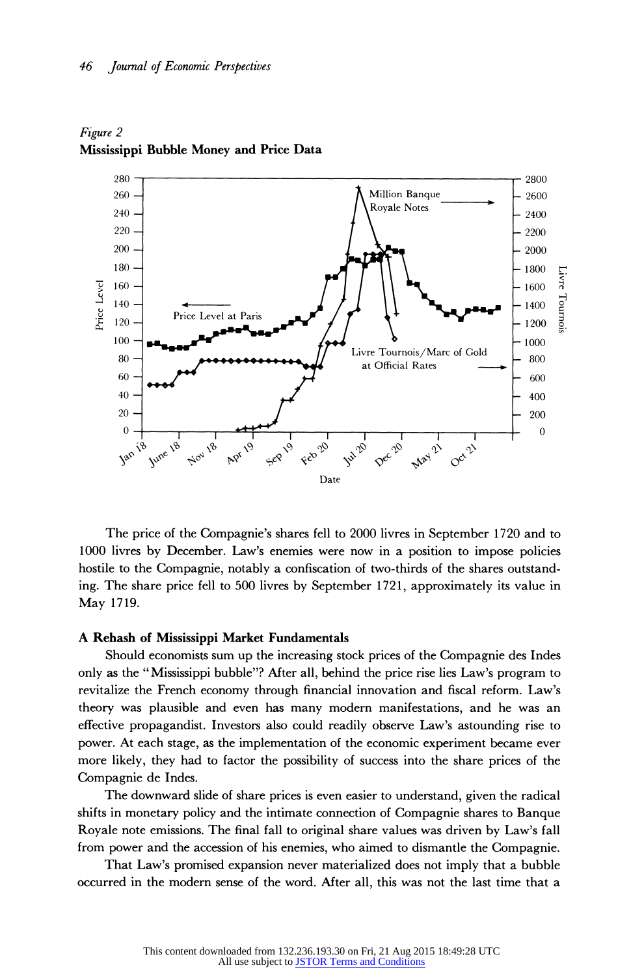

**Figure 2 Mississippi Bubble Money and Price Data** 

**The price of the Compagnie's shares fell to 2000 livres in September 1720 and to 1000 livres by December. Law's enemies were now in a position to impose policies hostile to the Compagnie, notably a confiscation of two-thirds of the shares outstanding. The share price fell to 500 livres by September 1721, approximately its value in May 1719.** 

#### **A Rehash of Mississippi Market Fundamentals**

**Should economists sum up the increasing stock prices of the Compagnie des Indes only as the "Mississippi bubble"? After all, behind the price rise lies Law's program to revitalize the French economy through financial innovation and fiscal reform. Law's theory was plausible and even has many modern manifestations, and he was an effective propagandist. Investors also could readily observe Law's astounding rise to power. At each stage, as the implementation of the economic experiment became ever more likely, they had to factor the possibility of success into the share prices of the Compagnie de Indes.** 

**The downward slide of share prices is even easier to understand, given the radical shifts in monetary policy and the intimate connection of Compagnie shares to Banque Royale note emissions. The final fall to original share values was driven by Law's fall from power and the accession of his enemies, who aimed to dismantle the Compagnie.** 

**That Law's promised expansion never materialized does not imply that a bubble occurred in the modern sense of the word. After all, this was not the last time that a**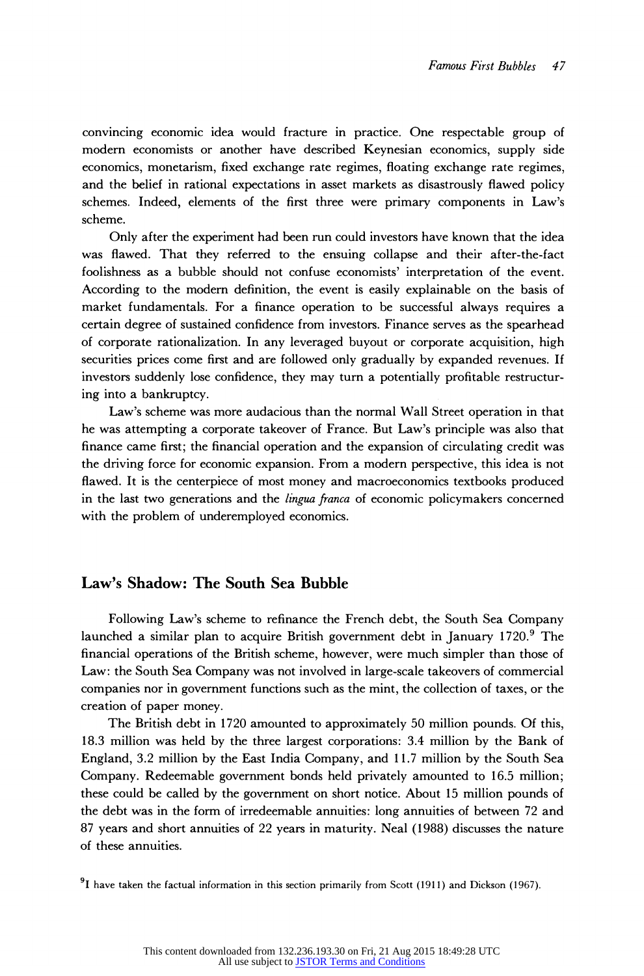**convincing economic idea would fracture in practice. One respectable group of modern economists or another have described Keynesian economics, supply side economics, monetarism, fixed exchange rate regimes, floating exchange rate regimes, and the belief in rational expectations in asset markets as disastrously flawed policy schemes. Indeed, elements of the first three were primary components in Law's scheme.** 

**Only after the experiment had been run could investors have known that the idea was flawed. That they referred to the ensuing collapse and their after-the-fact foolishness as a bubble should not confuse economists' interpretation of the event. According to the modern definition, the event is easily explainable on the basis of market fundamentals. For a finance operation to be successful always requires a certain degree of sustained confidence from investors. Finance serves as the spearhead of corporate rationalization. In any leveraged buyout or corporate acquisition, high securities prices come first and are followed only gradually by expanded revenues. If investors suddenly lose confidence, they may turn a potentially profitable restructuring into a bankruptcy.** 

**Law's scheme was more audacious than the normal Wall Street operation in that he was attempting a corporate takeover of France. But Law's principle was also that finance came first; the financial operation and the expansion of circulating credit was the driving force for economic expansion. From a modern perspective, this idea is not flawed. It is the centerpiece of most money and macroeconomics textbooks produced in the last two generations and the lingua franca of economic policymakers concerned with the problem of underemployed economics.** 

# **Law's Shadow: The South Sea Bubble**

**Following Law's scheme to refinance the French debt, the South Sea Company launched a similar plan to acquire British government debt in January 1720.9 The financial operations of the British scheme, however, were much simpler than those of Law: the South Sea Company was not involved in large-scale takeovers of commercial companies nor in government functions such as the mint, the collection of taxes, or the creation of paper money.** 

**The British debt in 1720 amounted to approximately 50 million pounds. Of this, 18.3 million was held by the three largest corporations: 3.4 million by the Bank of England, 3.2 million by the East India Company, and 11.7 million by the South Sea Company. Redeemable government bonds held privately amounted to 16.5 million; these could be called by the government on short notice. About 15 million pounds of the debt was in the form of irredeemable annuities: long annuities of between 72 and 87 years and short annuities of 22 years in maturity. Neal (1988) discusses the nature of these annuities.** 

<sup>&</sup>lt;sup>9</sup>I have taken the factual information in this section primarily from Scott (1911) and Dickson (1967).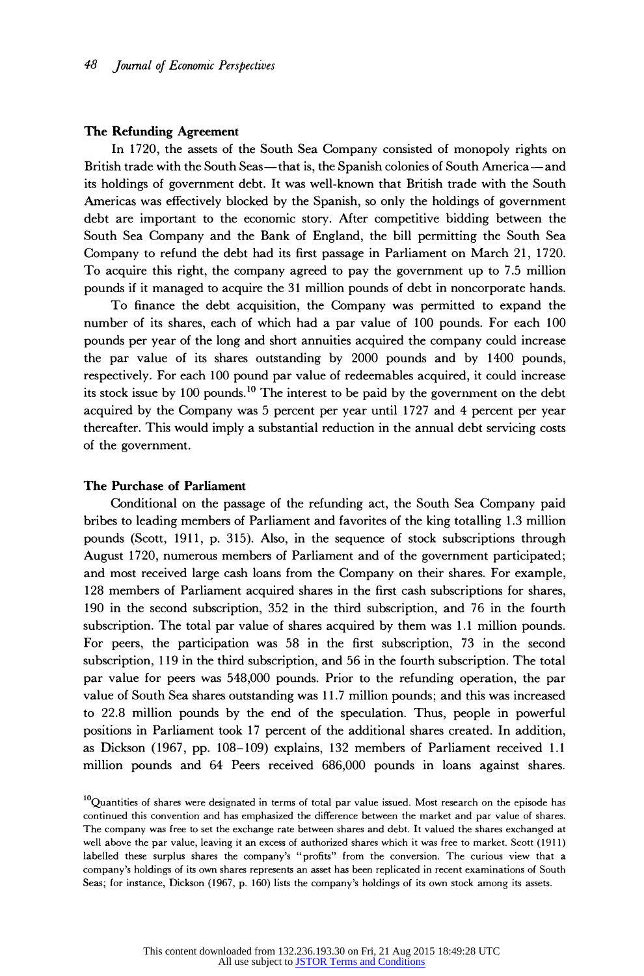#### **The Refunding Agreement**

**In 1720, the assets of the South Sea Company consisted of monopoly rights on**  British trade with the South Seas—that is, the Spanish colonies of South America—and **its holdings of government debt. It was well-known that British trade with the South Americas was effectively blocked by the Spanish, so only the holdings of government debt are important to the economic story. After competitive bidding between the South Sea Company and the Bank of England, the bill permitting the South Sea Company to refund the debt had its first passage in Parliament on March 21, 1720. To acquire this right, the company agreed to pay the government up to 7.5 million pounds if it managed to acquire the 31 million pounds of debt in noncorporate hands.** 

**To finance the debt acquisition, the Company was permitted to expand the number of its shares, each of which had a par value of 100 pounds. For each 100 pounds per year of the long and short annuities acquired the company could increase the par value of its shares outstanding by 2000 pounds and by 1400 pounds, respectively. For each 100 pound par value of redeemables acquired, it could increase its stock issue by 100 pounds.10 The interest to be paid by the government on the debt acquired by the Company was 5 percent per year until 1727 and 4 percent per year thereafter. This would imply a substantial reduction in the annual debt servicing costs of the government.** 

#### **The Purchase of Parliament**

**Conditional on the passage of the refunding act, the South Sea Company paid bribes to leading members of Parliament and favorites of the king totalling 1.3 million pounds (Scott, 1911, p. 315). Also, in the sequence of stock subscriptions through August 1720, numerous members of Parliament and of the government participated; and most received large cash loans from the Company on their shares. For example, 128 members of Parliament acquired shares in the first cash subscriptions for shares, 190 in the second subscription, 352 in the third subscription, and 76 in the fourth subscription. The total par value of shares acquired by them was 1.1 million pounds. For peers, the participation was 58 in the first subscription, 73 in the second subscription, 119 in the third subscription, and 56 in the fourth subscription. The total par value for peers was 548,000 pounds. Prior to the refunding operation, the par value of South Sea shares outstanding was 11.7 million pounds; and this was increased to 22.8 million pounds by the end of the speculation. Thus, people in powerful positions in Parliament took 17 percent of the additional shares created. In addition, as Dickson (1967, pp. 108-109) explains, 132 members of Parliament received 1.1 million pounds and 64 Peers received 686,000 pounds in loans against shares.** 

**<sup>10</sup>Quantities of shares were designated in terms of total par value issued. Most research on the episode has continued this convention and has emphasized the difference between the market and par value of shares. The company was free to set the exchange rate between shares and debt. It valued the shares exchanged at well above the par value, leaving it an excess of authorized shares which it was free to market. Scott (1911) labelled these surplus shares the company's "profits" from the conversion. The curious view that a company's holdings of its own shares represents an asset has been replicated in recent examinations of South Seas; for instance, Dickson (1967, p. 160) lists the company's holdings of its own stock among its assets.**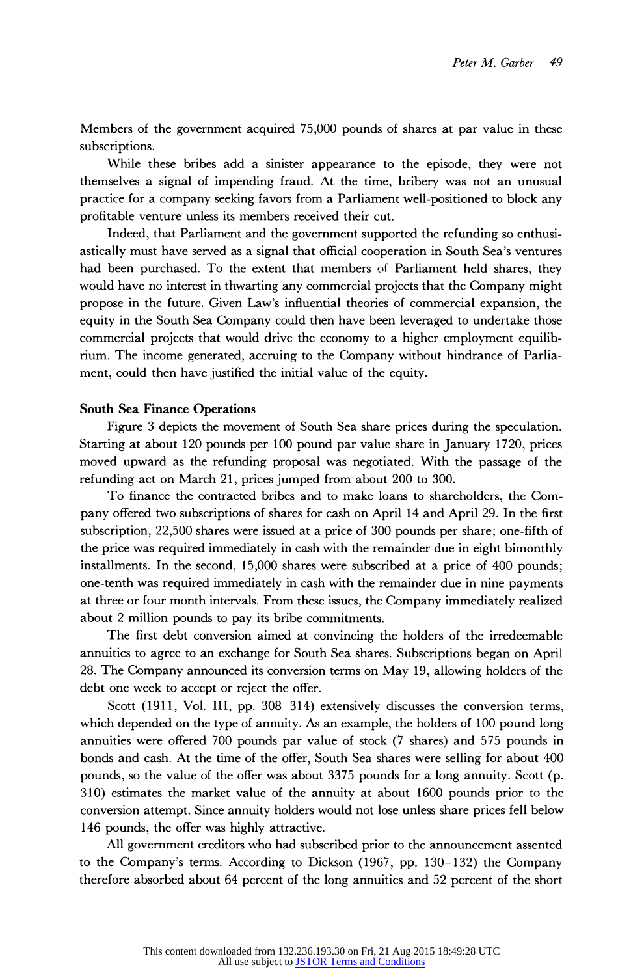**Members of the government acquired 75,000 pounds of shares at par value in these subscriptions.** 

**While these bribes add a sinister appearance to the episode, they were not themselves a signal of impending fraud. At the time, bribery was not an unusual practice for a company seeking favors from a Parliament well-positioned to block any profitable venture unless its members received their cut.** 

**Indeed, that Parliament and the government supported the refunding so enthusiastically must have served as a signal that official cooperation in South Sea's ventures had been purchased. To the extent that members of Parliament held shares, they would have no interest in thwarting any commercial projects that the Company might propose in the future. Given Law's influential theories of commercial expansion, the equity in the South Sea Company could then have been leveraged to undertake those commercial projects that would drive the economy to a higher employment equilibrium. The income generated, accruing to the Company without hindrance of Parliament, could then have justified the initial value of the equity.** 

#### **South Sea Finance Operations**

**Figure 3 depicts the movement of South Sea share prices during the speculation. Starting at about 120 pounds per 100 pound par value share in January 1720, prices moved upward as the refunding proposal was negotiated. With the passage of the refunding act on March 21, prices jumped from about 200 to 300.** 

**To finance the contracted bribes and to make loans to shareholders, the Company offered two subscriptions of shares for cash on April 14 and April 29. In the first subscription, 22,500 shares were issued at a price of 300 pounds per share; one-fifth of the price was required immediately in cash with the remainder due in eight bimonthly installments. In the second, 15,000 shares were subscribed at a price of 400 pounds; one-tenth was required immediately in cash with the remainder due in nine payments at three or four month intervals. From these issues, the Company immediately realized about 2 million pounds to pay its bribe commitments.** 

**The first debt conversion aimed at convincing the holders of the irredeemable annuities to agree to an exchange for South Sea shares. Subscriptions began on April 28. The Company announced its conversion terms on May 19, allowing holders of the debt one week to accept or reject the offer.** 

**Scott (1911, Vol. III, pp. 308-314) extensively discusses the conversion terms, which depended on the type of annuity. As an example, the holders of 100 pound long annuities were offered 700 pounds par value of stock (7 shares) and 575 pounds in bonds and cash. At the time of the offer, South Sea shares were selling for about 400 pounds, so the value of the offer was about 3375 pounds for a long annuity. Scott (p. 310) estimates the market value of the annuity at about 1600 pounds prior to the conversion attempt. Since annuity holders would not lose unless share prices fell below 146 pounds, the offer was highly attractive.** 

**All government creditors who had subscribed prior to the announcement assented to the Company's terms. According to Dickson (1967, pp. 130-132) the Company therefore absorbed about 64 percent of the long annuities and 52 percent of the short**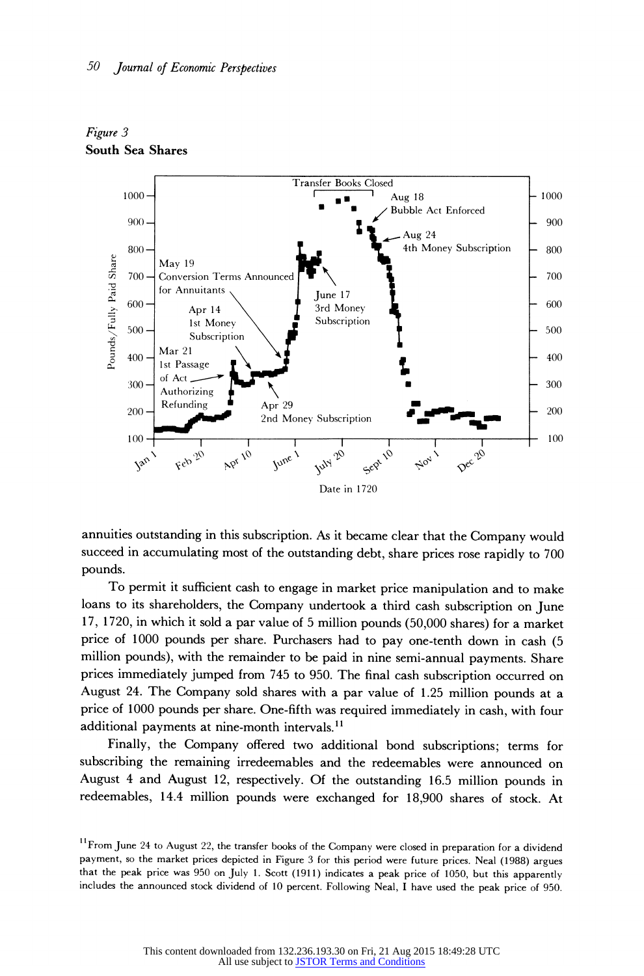

**Figure 3 South Sea Shares** 

**annuities outstanding in this subscription. As it became clear that the Company would succeed in accumulating most of the outstanding debt, share prices rose rapidly to 700 pounds.** 

**To permit it sufficient cash to engage in market price manipulation and to make loans to its shareholders, the Company undertook a third cash subscription on June 17, 1720, in which it sold a par value of 5 million pounds (50,000 shares) for a market price of 1000 pounds per share. Purchasers had to pay one-tenth down in cash (5 million pounds), with the remainder to be paid in nine semi-annual payments. Share prices immediately jumped from 745 to 950. The final cash subscription occurred on August 24. The Company sold shares with a par value of 1.25 million pounds at a price of 1000 pounds per share. One-fifth was required immediately in cash, with four additional payments at nine-month intervals.11** 

**Finally, the Company offered two additional bond subscriptions; terms for subscribing the remaining irredeemables and the redeemables were announced on August 4 and August 12, respectively. Of the outstanding 16.5 million pounds in redeemables, 14.4 million pounds were exchanged for 18,900 shares of stock. At** 

<sup>&</sup>lt;sup>11</sup> From June 24 to August 22, the transfer books of the Company were closed in preparation for a dividend **payment, so the market prices depicted in Figure 3 for this period were future prices. Neal (1988) argues that the peak price was 950 on July 1. Scott (1911) indicates a peak price of 1050, but this apparently includes the announced stock dividend of 10 percent. Following Neal, I have used the peak price of 950.**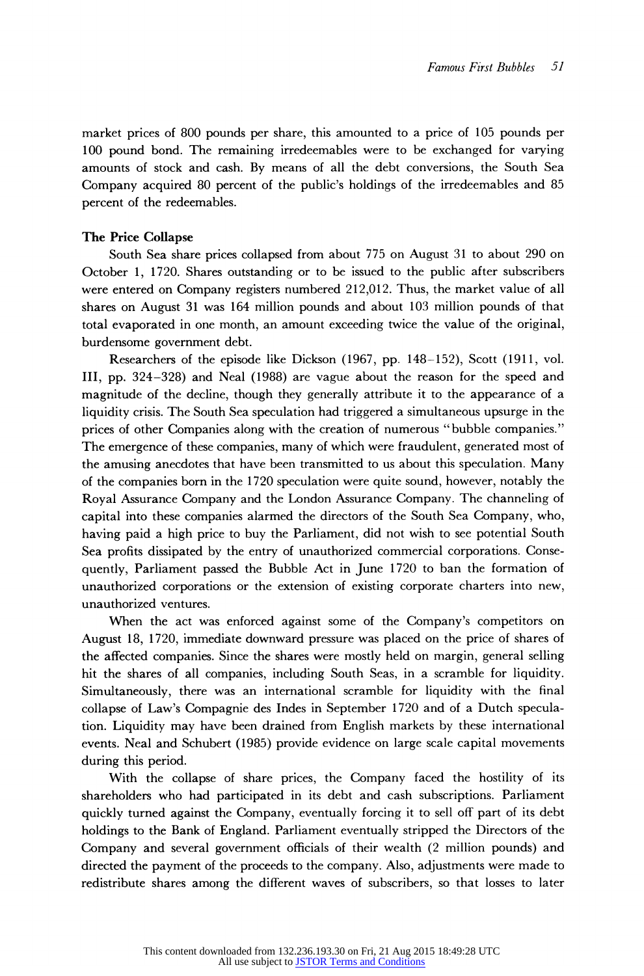**market prices of 800 pounds per share, this amounted to a price of 105 pounds per 100 pound bond. The remaining irredeemables were to be exchanged for varying amounts of stock and cash. By means of all the debt conversions, the South Sea Company acquired 80 percent of the public's holdings of the irredeemables and 85 percent of the redeemables.** 

#### **The Price Collapse**

**South Sea share prices collapsed from about 775 on August 31 to about 290 on October 1, 1720. Shares outstanding or to be issued to the public after subscribers were entered on Company registers numbered 212,012. Thus, the market value of all shares on August 31 was 164 million pounds and about 103 million pounds of that total evaporated in one month, an amount exceeding twice the value of the original, burdensome government debt.** 

**Researchers of the episode like Dickson (1967, pp. 148-152), Scott (1911, vol. III, pp. 324-328) and Neal (1988) are vague about the reason for the speed and magnitude of the decline, though they generally attribute it to the appearance of a liquidity crisis. The South Sea speculation had triggered a simultaneous upsurge in the prices of other Companies along with the creation of numerous "bubble companies." The emergence of these companies, many of which were fraudulent, generated most of the amusing anecdotes that have been transmitted to us about this speculation. Many of the companies born in the 1720 speculation were quite sound, however, notably the Royal Assurance Company and the London Assurance Company. The channeling of capital into these companies alarmed the directors of the South Sea Company, who, having paid a high price to buy the Parliament, did not wish to see potential South Sea profits dissipated by the entry of unauthorized commercial corporations. Consequently, Parliament passed the Bubble Act in June 1720 to ban the formation of unauthorized corporations or the extension of existing corporate charters into new, unauthorized ventures.** 

**When the act was enforced against some of the Company's competitors on August 18, 1720, immediate downward pressure was placed on the price of shares of the affected companies. Since the shares were mostly held on margin, general selling hit the shares of all companies, including South Seas, in a scramble for liquidity. Simultaneously, there was an international scramble for liquidity with the final collapse of Law's Compagnie des Indes in September 1720 and of a Dutch speculation. Liquidity may have been drained from English markets by these international events. Neal and Schubert (1985) provide evidence on large scale capital movements during this period.** 

**With the collapse of share prices, the Company faced the hostility of its shareholders who had participated in its debt and cash subscriptions. Parliament quickly turned against the Company, eventually forcing it to sell off part of its debt holdings to the Bank of England. Parliament eventually stripped the Directors of the Company and several government officials of their wealth (2 million pounds) and directed the payment of the proceeds to the company. Also, adjustments were made to redistribute shares among the different waves of subscribers, so that losses to later**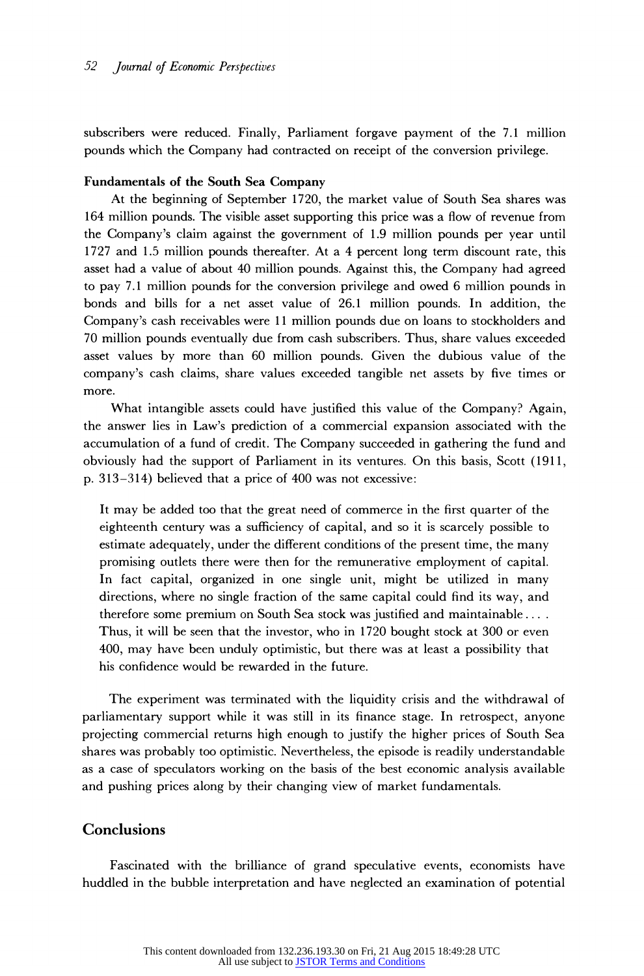**subscribers were reduced. Finally, Parliament forgave payment of the 7.1 million pounds which the Company had contracted on receipt of the conversion privilege.** 

#### **Fundamentals of the South Sea Company**

**At the beginning of September 1720, the market value of South Sea shares was 164 million pounds. The visible asset supporting this price was a flow of revenue from the Company's claim against the government of 1.9 million pounds per year until 1727 and 1.5 million pounds thereafter. At a 4 percent long term discount rate, this asset had a value of about 40 million pounds. Against this, the Company had agreed to pay 7.1 million pounds for the conversion privilege and owed 6 million pounds in bonds and bills for a net asset value of 26.1 million pounds. In addition, the Company's cash receivables were 11 million pounds due on loans to stockholders and 70 million pounds eventually due from cash subscribers. Thus, share values exceeded asset values by more than 60 million pounds. Given the dubious value of the company's cash claims, share values exceeded tangible net assets by five times or more.** 

**What intangible assets could have justified this value of the Company? Again, the answer lies in Law's prediction of a commercial expansion associated with the accumulation of a fund of credit. The Company succeeded in gathering the fund and obviously had the support of Parliament in its ventures. On this basis, Scott (1911, p. 313-314) believed that a price of 400 was not excessive:** 

**It may be added too that the great need of commerce in the first quarter of the eighteenth century was a sufficiency of capital, and so it is scarcely possible to estimate adequately, under the different conditions of the present time, the many promising outlets there were then for the remunerative employment of capital. In fact capital, organized in one single unit, might be utilized in many directions, where no single fraction of the same capital could find its way, and therefore some premium on South Sea stock was justified and maintainable.... Thus, it will be seen that the investor, who in 1720 bought stock at 300 or even 400, may have been unduly optimistic, but there was at least a possibility that his confidence would be rewarded in the future.** 

**The experiment was terminated with the liquidity crisis and the withdrawal of parliamentary support while it was still in its finance stage. In retrospect, anyone projecting commercial returns high enough to justify the higher prices of South Sea shares was probably too optimistic. Nevertheless, the episode is readily understandable as a case of speculators working on the basis of the best economic analysis available and pushing prices along by their changing view of market fundamentals.** 

### **Conclusions**

**Fascinated with the brilliance of grand speculative events, economists have huddled in the bubble interpretation and have neglected an examination of potential**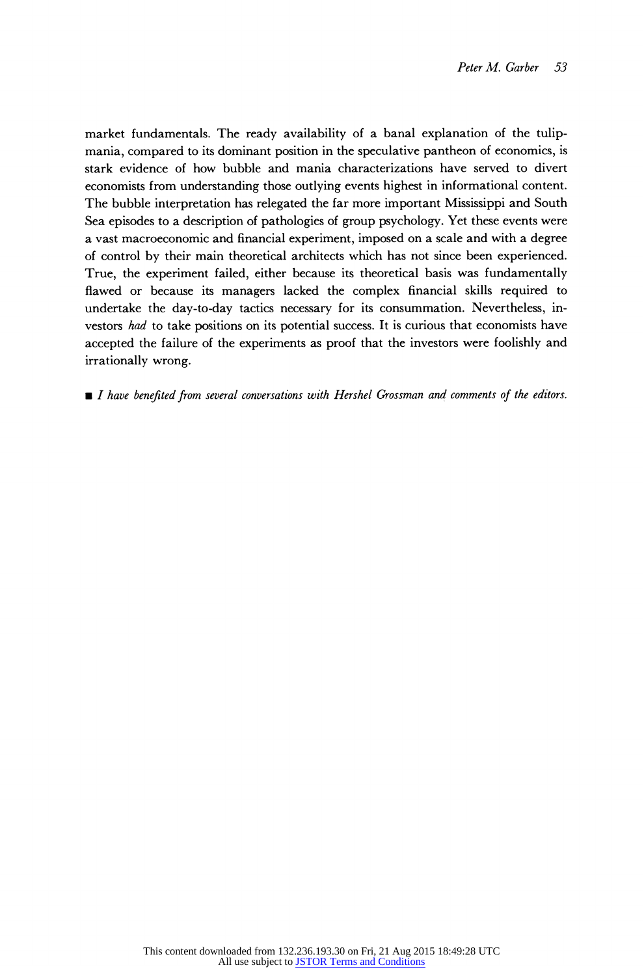**market fundamentals. The ready availability of a banal explanation of the tulipmania, compared to its dominant position in the speculative pantheon of economics, is stark evidence of how bubble and mania characterizations have served to divert economists from understanding those outlying events highest in informational content. The bubble interpretation has relegated the far more important Mississippi and South Sea episodes to a description of pathologies of group psychology. Yet these events were a vast macroeconomic and financial experiment, imposed on a scale and with a degree of control by their main theoretical architects which has not since been experienced. True, the experiment failed, either because its theoretical basis was fundamentally flawed or because its managers lacked the complex financial skills required to undertake the day-to-day tactics necessary for its consummation. Nevertheless, investors had to take positions on its potential success. It is curious that economists have accepted the failure of the experiments as proof that the investors were foolishly and irrationally wrong.** 

 $\blacksquare$  **I** have benefited from several conversations with Hershel Grossman and comments of the editors.